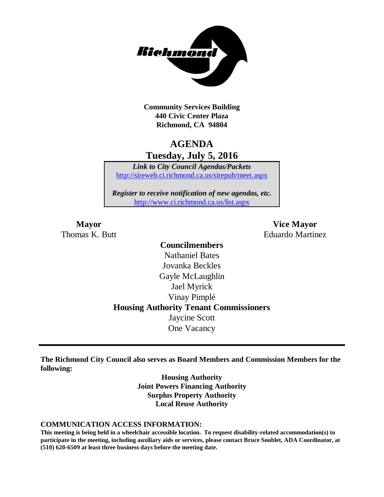

**Community Services Building 440 Civic Center Plaza Richmond, CA 94804**

## **AGENDA Tuesday, July 5, 2016**

*Link to City Council Agendas/Packets* <http://sireweb.ci.richmond.ca.us/sirepub/meet.aspx>

*Register to receive notification of new agendas, etc.* <http://www.ci.richmond.ca.us/list.aspx>

**Mayor Vice Mayor** Thomas K. Butt Eduardo Martinez

## **Councilmembers** Nathaniel Bates Jovanka Beckles Gayle McLaughlin Jael Myrick Vinay Pimplé **Housing Authority Tenant Commissioners** Jaycine Scott One Vacancy

**The Richmond City Council also serves as Board Members and Commission Members for the following:**

> **Housing Authority Joint Powers Financing Authority Surplus Property Authority Local Reuse Authority**

#### **COMMUNICATION ACCESS INFORMATION:**

**This meeting is being held in a wheelchair accessible location. To request disability-related accommodation(s) to participate in the meeting, including auxiliary aids or services, please contact Bruce Soublet, ADA Coordinator, at (510) 620-6509 at least three business days before the meeting date.**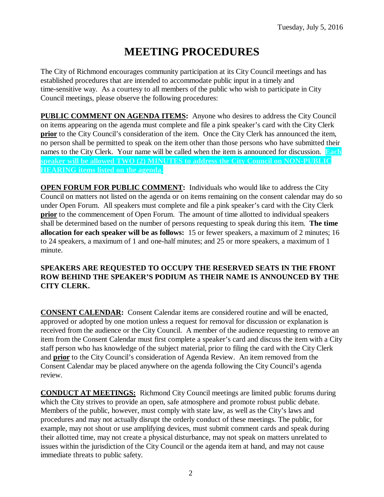# **MEETING PROCEDURES**

The City of Richmond encourages community participation at its City Council meetings and has established procedures that are intended to accommodate public input in a timely and time-sensitive way. As a courtesy to all members of the public who wish to participate in City Council meetings, please observe the following procedures:

**PUBLIC COMMENT ON AGENDA ITEMS:** Anyone who desires to address the City Council on items appearing on the agenda must complete and file a pink speaker's card with the City Clerk **prior** to the City Council's consideration of the item. Once the City Clerk has announced the item, no person shall be permitted to speak on the item other than those persons who have submitted their names to the City Clerk. Your name will be called when the item is announced for discussion. **Each speaker will be allowed TWO (2) MINUTES to address the City Council on NON-PUBLIC HEARING items listed on the agenda.**

**OPEN FORUM FOR PUBLIC COMMENT:** Individuals who would like to address the City Council on matters not listed on the agenda or on items remaining on the consent calendar may do so under Open Forum. All speakers must complete and file a pink speaker's card with the City Clerk **prior** to the commencement of Open Forum. The amount of time allotted to individual speakers shall be determined based on the number of persons requesting to speak during this item. **The time allocation for each speaker will be as follows:** 15 or fewer speakers, a maximum of 2 minutes; 16 to 24 speakers, a maximum of 1 and one-half minutes; and 25 or more speakers, a maximum of 1 minute.

### **SPEAKERS ARE REQUESTED TO OCCUPY THE RESERVED SEATS IN THE FRONT ROW BEHIND THE SPEAKER'S PODIUM AS THEIR NAME IS ANNOUNCED BY THE CITY CLERK.**

**CONSENT CALENDAR:** Consent Calendar items are considered routine and will be enacted, approved or adopted by one motion unless a request for removal for discussion or explanation is received from the audience or the City Council. A member of the audience requesting to remove an item from the Consent Calendar must first complete a speaker's card and discuss the item with a City staff person who has knowledge of the subject material, prior to filing the card with the City Clerk and **prior** to the City Council's consideration of Agenda Review. An item removed from the Consent Calendar may be placed anywhere on the agenda following the City Council's agenda review.

**CONDUCT AT MEETINGS:** Richmond City Council meetings are limited public forums during which the City strives to provide an open, safe atmosphere and promote robust public debate. Members of the public, however, must comply with state law, as well as the City's laws and procedures and may not actually disrupt the orderly conduct of these meetings. The public, for example, may not shout or use amplifying devices, must submit comment cards and speak during their allotted time, may not create a physical disturbance, may not speak on matters unrelated to issues within the jurisdiction of the City Council or the agenda item at hand, and may not cause immediate threats to public safety.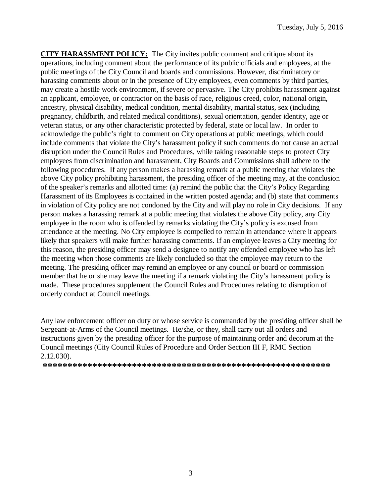**CITY HARASSMENT POLICY:** The City invites public comment and critique about its operations, including comment about the performance of its public officials and employees, at the public meetings of the City Council and boards and commissions. However, discriminatory or harassing comments about or in the presence of City employees, even comments by third parties, may create a hostile work environment, if severe or pervasive. The City prohibits harassment against an applicant, employee, or contractor on the basis of race, religious creed, color, national origin, ancestry, physical disability, medical condition, mental disability, marital status, sex (including pregnancy, childbirth, and related medical conditions), sexual orientation, gender identity, age or veteran status, or any other characteristic protected by federal, state or local law. In order to acknowledge the public's right to comment on City operations at public meetings, which could include comments that violate the City's harassment policy if such comments do not cause an actual disruption under the Council Rules and Procedures, while taking reasonable steps to protect City employees from discrimination and harassment, City Boards and Commissions shall adhere to the following procedures. If any person makes a harassing remark at a public meeting that violates the above City policy prohibiting harassment, the presiding officer of the meeting may, at the conclusion of the speaker's remarks and allotted time: (a) remind the public that the City's Policy Regarding Harassment of its Employees is contained in the written posted agenda; and (b) state that comments in violation of City policy are not condoned by the City and will play no role in City decisions. If any person makes a harassing remark at a public meeting that violates the above City policy, any City employee in the room who is offended by remarks violating the City's policy is excused from attendance at the meeting. No City employee is compelled to remain in attendance where it appears likely that speakers will make further harassing comments. If an employee leaves a City meeting for this reason, the presiding officer may send a designee to notify any offended employee who has left the meeting when those comments are likely concluded so that the employee may return to the meeting. The presiding officer may remind an employee or any council or board or commission member that he or she may leave the meeting if a remark violating the City's harassment policy is made. These procedures supplement the Council Rules and Procedures relating to disruption of orderly conduct at Council meetings.

Any law enforcement officer on duty or whose service is commanded by the presiding officer shall be Sergeant-at-Arms of the Council meetings. He/she, or they, shall carry out all orders and instructions given by the presiding officer for the purpose of maintaining order and decorum at the Council meetings (City Council Rules of Procedure and Order Section III F, RMC Section 2.12.030).

**\*\*\*\*\*\*\*\*\*\*\*\*\*\*\*\*\*\*\*\*\*\*\*\*\*\*\*\*\*\*\*\*\*\*\*\*\*\*\*\*\*\*\*\*\*\*\*\*\*\*\*\*\*\*\*\*\*\***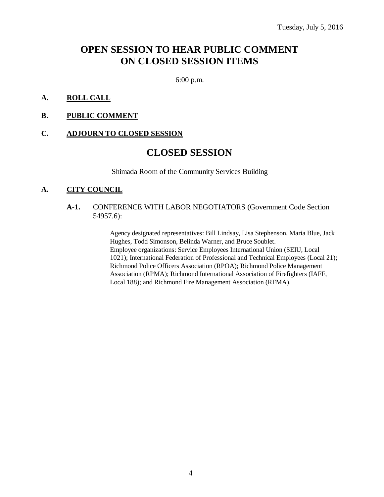## **OPEN SESSION TO HEAR PUBLIC COMMENT ON CLOSED SESSION ITEMS**

6:00 p.m.

#### **A. ROLL CALL**

#### **B. PUBLIC COMMENT**

#### **C. ADJOURN TO CLOSED SESSION**

## **CLOSED SESSION**

Shimada Room of the Community Services Building

#### **A. CITY COUNCIL**

#### **A-1.** CONFERENCE WITH LABOR NEGOTIATORS (Government Code Section 54957.6):

Agency designated representatives: Bill Lindsay, Lisa Stephenson, Maria Blue, Jack Hughes, Todd Simonson, Belinda Warner, and Bruce Soublet. Employee organizations: Service Employees International Union (SEIU, Local 1021); International Federation of Professional and Technical Employees (Local 21); Richmond Police Officers Association (RPOA); Richmond Police Management Association (RPMA); Richmond International Association of Firefighters (IAFF, Local 188); and Richmond Fire Management Association (RFMA).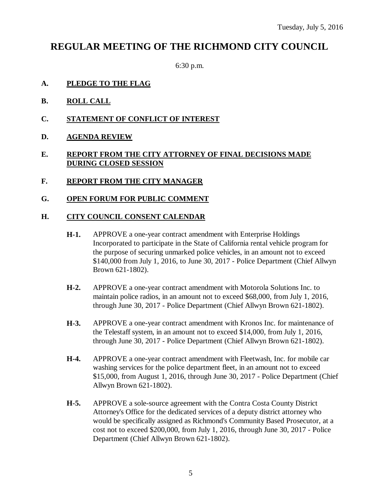## **REGULAR MEETING OF THE RICHMOND CITY COUNCIL**

6:30 p.m.

- **A. PLEDGE TO THE FLAG**
- **B. ROLL CALL**
- **C. STATEMENT OF CONFLICT OF INTEREST**
- **D. AGENDA REVIEW**

### **E. REPORT FROM THE CITY ATTORNEY OF FINAL DECISIONS MADE DURING CLOSED SESSION**

- **F. REPORT FROM THE CITY MANAGER**
- **G. OPEN FORUM FOR PUBLIC COMMENT**

### **H. CITY COUNCIL CONSENT CALENDAR**

- **H-1.** APPROVE a one-year contract amendment with Enterprise Holdings Incorporated to participate in the State of California rental vehicle program for the purpose of securing unmarked police vehicles, in an amount not to exceed \$140,000 from July 1, 2016, to June 30, 2017 - Police Department (Chief Allwyn Brown 621-1802).
- **H-2.** APPROVE a one-year contract amendment with Motorola Solutions Inc. to maintain police radios, in an amount not to exceed \$68,000, from July 1, 2016, through June 30, 2017 - Police Department (Chief Allwyn Brown 621-1802).
- **H-3.** APPROVE a one-year contract amendment with Kronos Inc. for maintenance of the Telestaff system, in an amount not to exceed \$14,000, from July 1, 2016, through June 30, 2017 - Police Department (Chief Allwyn Brown 621-1802).
- **H-4.** APPROVE a one-year contract amendment with Fleetwash, Inc. for mobile car washing services for the police department fleet, in an amount not to exceed \$15,000, from August 1, 2016, through June 30, 2017 - Police Department (Chief Allwyn Brown 621-1802).
- **H-5.** APPROVE a sole-source agreement with the Contra Costa County District Attorney's Office for the dedicated services of a deputy district attorney who would be specifically assigned as Richmond's Community Based Prosecutor, at a cost not to exceed \$200,000, from July 1, 2016, through June 30, 2017 - Police Department (Chief Allwyn Brown 621-1802).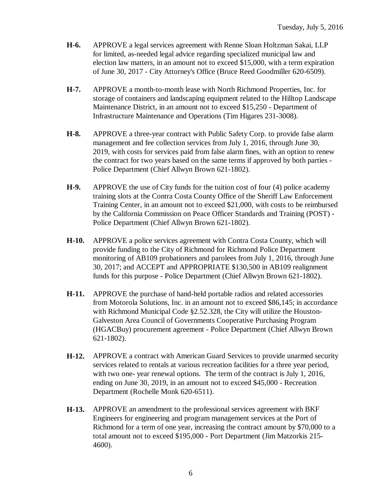- **H-6.** APPROVE a legal services agreement with Renne Sloan Holtzman Sakai, LLP for limited, as-needed legal advice regarding specialized municipal law and election law matters, in an amount not to exceed \$15,000, with a term expiration of June 30, 2017 - City Attorney's Office (Bruce Reed Goodmiller 620-6509).
- **H-7.** APPROVE a month-to-month lease with North Richmond Properties, Inc. for storage of containers and landscaping equipment related to the Hilltop Landscape Maintenance District, in an amount not to exceed \$15,250 - Department of Infrastructure Maintenance and Operations (Tim Higares 231-3008).
- **H-8.** APPROVE a three-year contract with Public Safety Corp. to provide false alarm management and fee collection services from July 1, 2016, through June 30, 2019, with costs for services paid from false alarm fines, with an option to renew the contract for two years based on the same terms if approved by both parties - Police Department (Chief Allwyn Brown 621-1802).
- **H-9.** APPROVE the use of City funds for the tuition cost of four (4) police academy training slots at the Contra Costa County Office of the Sheriff Law Enforcement Training Center, in an amount not to exceed \$21,000, with costs to be reimbursed by the California Commission on Peace Officer Standards and Training (POST) - Police Department (Chief Allwyn Brown 621-1802).
- **H-10.** APPROVE a police services agreement with Contra Costa County, which will provide funding to the City of Richmond for Richmond Police Department monitoring of AB109 probationers and parolees from July 1, 2016, through June 30, 2017; and ACCEPT and APPROPRIATE \$130,500 in AB109 realignment funds for this purpose - Police Department (Chief Allwyn Brown 621-1802).
- **H-11.** APPROVE the purchase of hand-held portable radios and related accessories from Motorola Solutions, Inc. in an amount not to exceed \$86,145; in accordance with Richmond Municipal Code §2.52.328, the City will utilize the Houston-Galveston Area Council of Governments Cooperative Purchasing Program (HGACBuy) procurement agreement - Police Department (Chief Allwyn Brown 621-1802).
- **H-12.** APPROVE a contract with American Guard Services to provide unarmed security services related to rentals at various recreation facilities for a three year period, with two one- year renewal options. The term of the contract is July 1, 2016, ending on June 30, 2019, in an amount not to exceed \$45,000 - Recreation Department (Rochelle Monk 620-6511).
- **H-13.** APPROVE an amendment to the professional services agreement with BKF Engineers for engineering and program management services at the Port of Richmond for a term of one year, increasing the contract amount by \$70,000 to a total amount not to exceed \$195,000 - Port Department (Jim Matzorkis 215- 4600).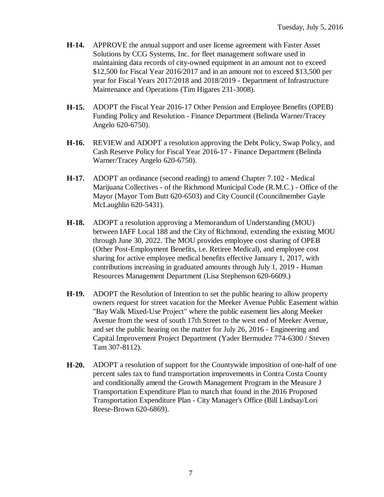- **H-14.** APPROVE the annual support and user license agreement with Faster Asset Solutions by CCG Systems, Inc. for fleet management software used in maintaining data records of city-owned equipment in an amount not to exceed \$12,500 for Fiscal Year 2016/2017 and in an amount not to exceed \$13,500 per year for Fiscal Years 2017/2018 and 2018/2019 - Department of Infrastructure Maintenance and Operations (Tim Higares 231-3008).
- **H-15.** ADOPT the Fiscal Year 2016-17 Other Pension and Employee Benefits (OPEB) Funding Policy and Resolution - Finance Department (Belinda Warner/Tracey Angelo 620-6750).
- **H-16.** REVIEW and ADOPT a resolution approving the Debt Policy, Swap Policy, and Cash Reserve Policy for Fiscal Year 2016-17 - Finance Department (Belinda Warner/Tracey Angelo 620-6750).
- **H-17.** ADOPT an ordinance (second reading) to amend Chapter 7.102 Medical Marijuana Collectives - of the Richmond Municipal Code (R.M.C.) - Office of the Mayor (Mayor Tom Butt 620-6503) and City Council (Councilmember Gayle McLaughlin 620-5431).
- **H-18.** ADOPT a resolution approving a Memorandum of Understanding (MOU) between IAFF Local 188 and the City of Richmond, extending the existing MOU through June 30, 2022. The MOU provides employee cost sharing of OPEB (Other Post-Employment Benefits, i.e. Retiree Medical), and employee cost sharing for active employee medical benefits effective January 1, 2017, with contributions increasing in graduated amounts through July 1, 2019 - Human Resources Management Department (Lisa Stephenson 620-6609.)
- **H-19.** ADOPT the Resolution of Intention to set the public hearing to allow property owners request for street vacation for the Meeker Avenue Public Easement within "Bay Walk Mixed-Use Project" where the public easement lies along Meeker Avenue from the west of south 17th Street to the west end of Meeker Avenue, and set the public hearing on the matter for July 26, 2016 - Engineering and Capital Improvement Project Department (Yader Bermudez 774-6300 / Steven Tam 307-8112).
- **H-20.** ADOPT a resolution of support for the Countywide imposition of one-half of one percent sales tax to fund transportation improvements in Contra Costa County and conditionally amend the Growth Management Program in the Measure J Transportation Expenditure Plan to match that found in the 2016 Proposed Transportation Expenditure Plan - City Manager's Office (Bill Lindsay/Lori Reese-Brown 620-6869).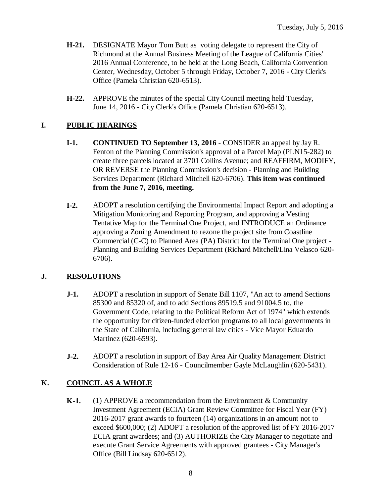- **H-21.** DESIGNATE Mayor Tom Butt as voting delegate to represent the City of Richmond at the Annual Business Meeting of the League of California Cities' 2016 Annual Conference, to be held at the Long Beach, California Convention Center, Wednesday, October 5 through Friday, October 7, 2016 - City Clerk's Office (Pamela Christian 620-6513).
- **H-22.** APPROVE the minutes of the special City Council meeting held Tuesday, June 14, 2016 - City Clerk's Office (Pamela Christian 620-6513).

## **I. PUBLIC HEARINGS**

- **I-1. CONTINUED TO September 13, 2016** CONSIDER an appeal by Jay R. Fenton of the Planning Commission's approval of a Parcel Map (PLN15-282) to create three parcels located at 3701 Collins Avenue; and REAFFIRM, MODIFY, OR REVERSE the Planning Commission's decision - Planning and Building Services Department (Richard Mitchell 620-6706). **This item was continued from the June 7, 2016, meeting.**
- **I-2.** ADOPT a resolution certifying the Environmental Impact Report and adopting a Mitigation Monitoring and Reporting Program, and approving a Vesting Tentative Map for the Terminal One Project, and INTRODUCE an Ordinance approving a Zoning Amendment to rezone the project site from Coastline Commercial (C-C) to Planned Area (PA) District for the Terminal One project - Planning and Building Services Department (Richard Mitchell/Lina Velasco 620- 6706).

## **J. RESOLUTIONS**

- **J-1.** ADOPT a resolution in support of Senate Bill 1107, "An act to amend Sections 85300 and 85320 of, and to add Sections 89519.5 and 91004.5 to, the Government Code, relating to the Political Reform Act of 1974" which extends the opportunity for citizen-funded election programs to all local governments in the State of California, including general law cities - Vice Mayor Eduardo Martinez (620-6593).
- **J-2.** ADOPT a resolution in support of Bay Area Air Quality Management District Consideration of Rule 12-16 - Councilmember Gayle McLaughlin (620-5431).

## **K. COUNCIL AS A WHOLE**

**K-1.** (1) APPROVE a recommendation from the Environment & Community Investment Agreement (ECIA) Grant Review Committee for Fiscal Year (FY) 2016-2017 grant awards to fourteen (14) organizations in an amount not to exceed \$600,000; (2) ADOPT a resolution of the approved list of FY 2016-2017 ECIA grant awardees; and (3) AUTHORIZE the City Manager to negotiate and execute Grant Service Agreements with approved grantees - City Manager's Office (Bill Lindsay 620-6512).